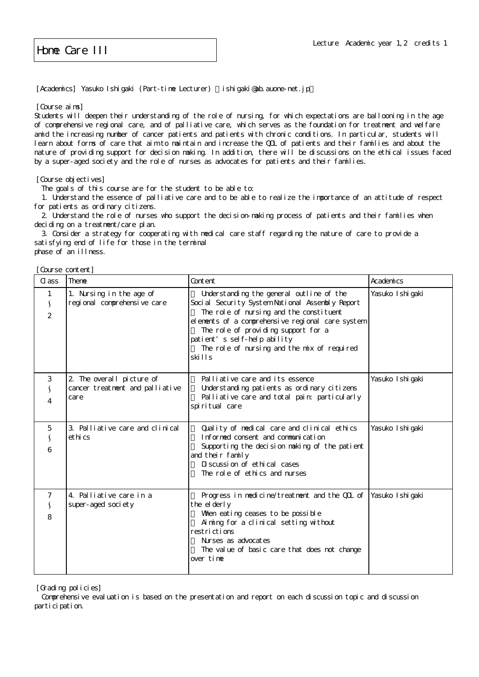Home Care III

[Academics] Yasuko Ishigaki (Part-time Lecturer) ishigaki@ab.auone-net.jp

[Course aims]

Students will deepen their understanding of the role of nursing, for which expectations are ballooning in the age of comprehensive regional care, and of palliative care, which serves as the foundation for treatment and welfare amid the increasing number of cancer patients and patients with chronic conditions. In particular, students will learn about forms of care that aim to maintain and increase the QOL of patients and their families and about the nature of providing support for decision making. In addition, there will be discussions on the ethical issues faced by a super-aged society and the role of nurses as advocates for patients and their families.

[Course objectives]

The goals of this course are for the student to be able to:

 1. Understand the essence of palliative care and to be able to realize the importance of an attitude of respect for patients as ordinary citizens.

 2. Understand the role of nurses who support the decision-making process of patients and their families when deciding on a treatment/care plan.

 3. Consider a strategy for cooperating with medical care staff regarding the nature of care to provide a satisfying end of life for those in the terminal phase of an illness.

[Course content]

| Cl ass                                             | Theme                                                                | Content                                                                                                                                                                                                                                                                                                                        | Academics         |
|----------------------------------------------------|----------------------------------------------------------------------|--------------------------------------------------------------------------------------------------------------------------------------------------------------------------------------------------------------------------------------------------------------------------------------------------------------------------------|-------------------|
| 1<br>$\mathcal{S}_{\mathcal{S}}$<br>$\overline{2}$ | 1. Nursing in the age of<br>regional comprehensive care              | Understanding the general outline of the<br>Soci al Security System National Assembly Report<br>The role of nursing and the constituent<br>el enents of a comprehensive regional care system<br>The role of providing support for a<br>patient's self-help ability<br>The role of nursing and the mix of required<br>ski I I s | Yasuko I shi gaki |
| 3<br>4                                             | 2. The overall picture of<br>cancer treatment and palliative<br>care | Palliative care and its essence<br>Understanding patients as ordinary citizens<br>Palliative care and total pain: particularly<br>spiritual care                                                                                                                                                                               | Yasuko Ishi gaki  |
| 5<br>6                                             | 3. Palliative care and clinical<br>ethi cs                           | Quality of medical care and clinical ethics<br>Informed consent and communication<br>Supporting the decision making of the patient<br>and their family<br>Di scussi on of ethi cal cases<br>The role of ethics and nurses                                                                                                      | Yasuko I shi gaki |
| 8                                                  | 4. Palliative care in a<br>super-aged society                        | Progress in medicine/treatment and the COL of<br>the elderly<br>When eating ceases to be possible<br>Aiming for a clinical setting without<br>restrictions<br>Nurses as advocates<br>The value of basic care that does not change<br>over time                                                                                 | Yasuko I shi gaki |

[Grading policies]

 Comprehensive evaluation is based on the presentation and report on each discussion topic and discussion participation.